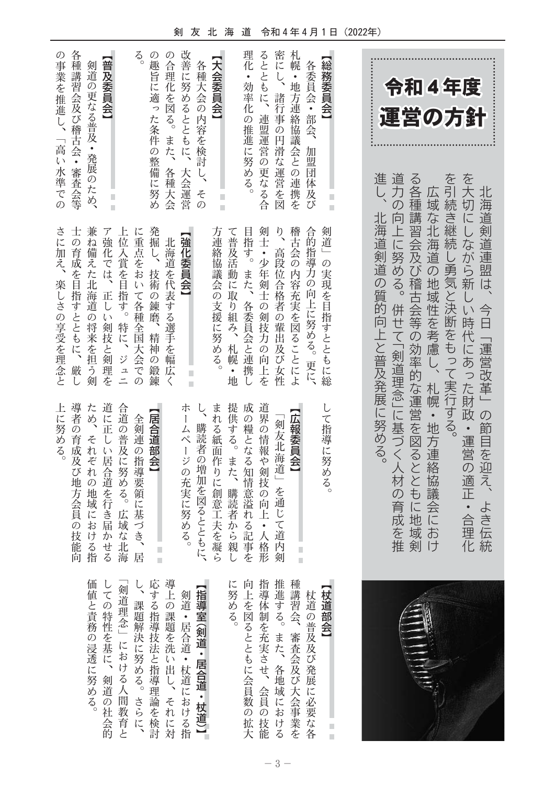剣 友 北 海 道 令和4年4月1日 (2022年)

| 令和4年度<br>運営の方針<br>道<br>進<br>$\breve{\diamond}$<br>を引続き継続     | を大切にしながら新<br>力の向上に努める。<br>各種講習会及び稽古会等の効率的な運営を図るとともに地<br>広域な北海道の地域性を考慮し、<br>北海道剣道連盟は<br>北海道剣道の質的向上と普及発展に努める。<br>し勇気と決断をもって実行する。<br>今日 | しい時代にあった財政・運営の適正・合<br>併せて「剣道理念」に基づく人材の育成<br>「運営改革」の節目を迎え、<br>札幌・地方連絡協議会に<br>よき<br>域剣<br>逗化<br>、を推<br>おけ<br>伝統 |                                                        |
|--------------------------------------------------------------|--------------------------------------------------------------------------------------------------------------------------------------|---------------------------------------------------------------------------------------------------------------|--------------------------------------------------------|
| 札幌・地方連絡協議会との連携を<br>総務委員会】<br>各委員会・部会、<br>加盟<br>団体及<br>П<br>び | 稽古会の内容充実を図ることによ<br>剣道」の実現を目指すとともに総<br>合的指導力の向上に努める。<br>更に、                                                                           | して指導に努める。<br>【広報委員会】<br>Ė<br>ī                                                                                | 種講習会、審査会及び大会事業を<br>【杖道部会】<br>杖道の普及及び発展に必要な各<br>Ì.<br>п |
| 密にし、<br>諸行事の円滑な運営を図                                          | $\frac{1}{2}$<br>高段位<br>合格者の輩出及び女性                                                                                                   | 剣友北海道」を通じて道内剣                                                                                                 | 推進する。また、各地域における                                        |
| 理化・効率化<br>るとともに、<br>連盟運営の更なる合<br>の推進に努める。                    | 剣士・少年剣士の剣技力の向上<br>目指す。また、<br>各委員会と連携<br>ï<br>を                                                                                       | 成の糧となる知情意溢れる記事を<br>道界の情報や剣技の向上<br>• 人格形                                                                       | 向上を図るとともに会員数の拡大<br>指導体制を充実させ、会員の技能                     |
| 【大会委員会】                                                      | 方連絡協議会の支援に努める。<br>て普及活動に取り組み、札幌<br>$\bullet$<br>地                                                                                    | 提供する。<br>まれる紙面作りに創意工夫を凝ら<br>また、購読者から親し                                                                        | に努める。                                                  |
| 各種大会の内容を検討<br>その                                             |                                                                                                                                      | 購読者の増加を図るとともに、                                                                                                | 【指導室(剣道・居合道・杖道)】                                       |
| 改善に努めるとともに、大会運営                                              | 強化委員会】<br>П<br>П                                                                                                                     | 朩<br>$\begin{array}{c} \end{array}$<br>ムページの充実に努める。                                                           | 剣道・居合道・杖道における指                                         |
| の合理化を図る。<br>また、<br>各種大会                                      | 北海道を代表する選手を幅広<br>$\langle$                                                                                                           | Ė<br>i.                                                                                                       | 導上の課題を洗い出し、それに対                                        |
| $\vec{\xi}$<br>の趣旨に適った条件の整備に努め                               | 発掘し、<br>に重点をおいて各種全国大会で<br>技術の<br>錬磨、精神<br>$\mathcal{O}$<br>鍛<br>$\mathcal{O}$<br>錬                                                   | 居合道部会】<br>全剣連の指導要領に基づき、居                                                                                      | 応する指導技法と指導理論を検討<br>し、課題解決に努める。さらに、                     |
|                                                              | 位入賞を目指す。<br>特に、<br>ジュニ                                                                                                               | 合道の普及に努める。<br>広域な北海                                                                                           | 剣道理念」における人間教育と                                         |
| 【普及委員会】                                                      | ア強化<br>では、<br>正し<br>$\tilde{\psi}$<br>剣技と剣理<br>を                                                                                     | 道<br>に正正<br>$\cup$<br>い居合道を行き届かせる                                                                             | しての特性を基に、剣道の社会的                                        |
| 剣道の更なる普及・発展のため、                                              | 兼ね備えた北海道の将来を担う剣                                                                                                                      | ため、<br>それぞれの地域における指                                                                                           | 価値と責務の浸透に努める。                                          |
| 各種講習会及び稽古会・審査会等                                              | の育成を目指すとともに、厳<br>L                                                                                                                   | 導者の育成及び地方会員<br>の技能向                                                                                           |                                                        |
| の事業を推進し、「高い水準での                                              | さに加え、<br>楽しさの享受を理念と                                                                                                                  | 上に努める。                                                                                                        |                                                        |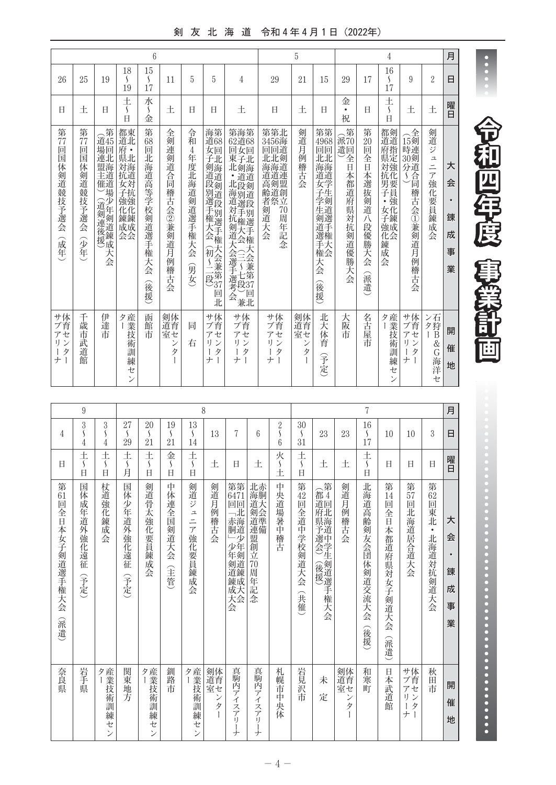## 剣 友 北 海 道 令和4年4月1日(2022年)

|                                        |                                         |                                                               |                                                                   | $6\phantom{.0}$                                   |                                             |                                                 |                                                             |                                                                                               |                                                                                             | 5                                    |                                                                                 |                                                    |                                       | $\overline{4}$                                                            |                                                                            |                                               | 月                                       |
|----------------------------------------|-----------------------------------------|---------------------------------------------------------------|-------------------------------------------------------------------|---------------------------------------------------|---------------------------------------------|-------------------------------------------------|-------------------------------------------------------------|-----------------------------------------------------------------------------------------------|---------------------------------------------------------------------------------------------|--------------------------------------|---------------------------------------------------------------------------------|----------------------------------------------------|---------------------------------------|---------------------------------------------------------------------------|----------------------------------------------------------------------------|-----------------------------------------------|-----------------------------------------|
| 26                                     | 25                                      | 19                                                            | 18<br>\$<br>19                                                    | 15<br>S<br>17                                     | 11                                          | 5                                               | 5                                                           | 4                                                                                             | 29                                                                                          | 21                                   | 15                                                                              | 29                                                 | 17                                    | 16<br>$\mathcal{S}_{\mathcal{S}}$<br>17                                   | 9                                                                          | $\overline{2}$                                | 日                                       |
| Ħ                                      | 土                                       | Ħ                                                             | 土<br>$\mathcal{L}_{\mathcal{L}}$<br>$\Box$                        | 水<br>S<br>金                                       | 土                                           | Ħ                                               | Ħ                                                           | 土                                                                                             | 日                                                                                           | 土                                    | Ħ                                                                               | 金<br>$\bullet$<br>祝                                | Η                                     | 土<br>$\mathcal{S}_{\mathcal{S}}$<br>$\overline{H}$                        | 土                                                                          | 土                                             | 曜日                                      |
| 第<br>77<br>回<br>国体<br>:剣道競技予選会<br>(成年) | 第<br>77<br>回<br>国<br>体<br>剣道競技予選会<br>分年 | 第<br>道45<br>場回<br>連北<br>盟海<br>主道<br>一催道場<br>(道剣連後援)<br>大<br>会 | 都東<br>府 •<br>県北<br>対海<br>抗道<br>女対<br>子抗<br>強強<br>化化鍊鍊<br>成成<br>会会 | 第<br>68<br>回<br>北海道高等学校剣道選手<br>権<br>大<br>会<br>(後援 | 全剣連<br>剣道合<br>同稽古会②兼<br>剣道<br>月<br>例<br>稽古会 | 令<br>和<br>4<br>年度北<br>海道剣道選手<br>権大<br>슺<br>(男女) | 海第<br>道68<br>女回子北<br>剣道段別選手権大会海道剣道段別選手権<br>(初~二段)<br>回<br>北 | 第海第<br>62道68<br>回女回<br>「東北・山道」<br>「東北 道道」<br>北段剣道<br>;道対抗剣道大会選手選考会<br>那選手権大会(三~七段)兼(段別選手権大会会) | 第第北<br>3456海<br>回回道<br>北北剣<br>海海道<br>道道連<br>高剣盟<br>齢道創<br>者祭立<br>剣道大会<br>70<br>周<br>年<br>記念 | 剣道月<br>例<br>稽古<br>会                  | 第第<br>4968<br>回回<br>北北<br>海海道<br>4女子学生:草<br>前選手<br>選権<br>手天<br>権会<br>大会<br>(後援) | 第<br>派70<br>遣回<br>全<br>$\Box$<br>本都道府県対抗<br>剣道優勝大会 | 第<br>20<br>回<br>全日本選抜剣道八段優勝大会<br>(派遣) | 都剣<br> 府県対:<br>抗化<br><b>.男子・・・</b><br>女化<br>子錬<br>強成<br>化会<br>錬<br>成<br>会 | 全<br>15剣<br>時連<br>30剣<br>分道<br>荅<br>S<br>同稽古会①兼剣道<br>肎<br>例<br>3稽古会        | 剣道ジ<br>$\mathfrak{\text{1}}$<br>ニア強化要員錬成<br>슺 | 大<br>会<br>$\bullet$<br>錬<br>成<br>事<br>業 |
| サ体<br>ブ育<br>アセ<br>リン<br>タ<br>ナ         | 千歳<br>市<br>武道館                          | 伊<br>達<br>市                                                   | ター 業技術型<br>訓<br>練<br>セ<br>$\mathcal{V}$                           | 函館<br>芾                                           | 剣体<br>道育<br>室セ<br>ン<br>タ                    | 同<br>右                                          | サ体<br>ブ育<br>アセ<br>リン<br>タ<br>L<br>ナ                         | サ体<br>ブ育<br>アセ<br>リン<br>タ<br>Ť<br>ナ                                                           | サ体<br>ブ育<br>セ<br>$\overline{\mathcal{T}}$<br>リン<br>タ<br>$\boldsymbol{+}$<br>1               | 剣体<br>道育<br>室セ<br>$\mathcal{V}$<br>タ | 北<br>大<br>体<br>育<br>(予定)                                                        | 大<br>阪<br>市                                        | 名古屋市                                  | 産業<br>タ<br>技<br>術<br>訓<br>練<br>セ<br>$\mathcal{V}$                         | サ体<br>ブ育<br>セ<br>$\overline{\mathcal{T}}$<br>IJ<br>$\mathcal{V}$<br>タ<br>ナ | ン石<br>夕狩<br>B<br>&<br>G<br>海洋<br>セ            | 開<br>催<br>地                             |

|                                      | $\boldsymbol{9}$                    |                        |                                         |                                         |                                            |                                                       | 8                   |                                                                              |                                                     |                                       |                                            |                                        |                          | 7                                       |                                                               |                                      |                                                   | 月                                       |
|--------------------------------------|-------------------------------------|------------------------|-----------------------------------------|-----------------------------------------|--------------------------------------------|-------------------------------------------------------|---------------------|------------------------------------------------------------------------------|-----------------------------------------------------|---------------------------------------|--------------------------------------------|----------------------------------------|--------------------------|-----------------------------------------|---------------------------------------------------------------|--------------------------------------|---------------------------------------------------|-----------------------------------------|
| 4                                    | 3<br>S<br>4                         | 3<br>١<br>4            | 27<br>$\mathcal{S}_{\mathcal{S}}$<br>29 | 20<br>$\mathcal{S}_{\mathcal{S}}$<br>21 | 19<br>$\left\{ \right.$<br>21              | 13<br>$\mathcal{S}_{\mathcal{S}}$<br>14               | 13                  | 7                                                                            | 6                                                   | $\frac{2}{\mathcal{S}}$<br>6          | 30<br>$\mathcal{L}_{\mathcal{L}}$<br>31    | 23                                     | 23                       | 16<br>$\mathcal{S}_{\mathcal{S}}$<br>17 | 10                                                            | 10                                   | 3                                                 | 日                                       |
| H                                    | 土<br>$\mathsf{S}$<br>H              | 土<br>$\mathsf{S}$<br>E | 土<br>$\mathcal{S}_{\mathcal{S}}$<br>月   | 土<br>$\mathcal{S}_{\mathcal{S}}$<br>H   | 金<br>$\mathcal{S}_{\mathcal{S}}$<br>$\Box$ | 土<br>$\mathcal{S}_{\mathcal{S}}$<br>H                 | 土                   | Ħ                                                                            | 土                                                   | 火<br>$\mathcal{S}_{\mathcal{S}}$<br>土 | 土<br>$\mathcal{S}_{\mathcal{S}}$<br>E      | 土                                      | 土                        | 土<br>$\mathcal{S}_{\mathcal{S}}$<br>E   | Ħ                                                             | Ħ                                    | Η                                                 | 曜日                                      |
| 第<br>61<br>回<br>全日本女子剣道選手権大会<br>(派遣) | 国<br>体<br>成<br>《年道外<br>強化遠征<br>(予定) | 杖道強化錬成<br>会            | 国<br>体<br>少<br>年道外強化遠征<br>(予定)          | 剣道骨太強化<br>要員錬成会                         | 中<br>体連<br>全国剣道大会<br>(主管                   | 剣道ジ<br>그<br>$\equiv$<br>$\overline{f}$<br>強化要員錬成<br>会 | 剣道月例<br>稽古会         | 第第<br>6471<br>回回<br><b>二六海道:</b><br>二少<br>少年<br>年剣<br>-剣道錬成<br>成大<br>大会<br>会 | 北赤<br>海胴大<br>》剣道準備<br>盟<br>創立<br>70<br>周年<br>詑<br>念 | 中<br>央道場暑中稽古                          | 第<br>$\frac{42}{\Box}$<br>全道中学校剣道大会<br>(共催 | (都道:<br><b>』府県予選会)</b><br>(後援) 創道選手権大会 | 剣道月例稽古会                  | 北<br>海道高齢剣友会団<br>体<br>剣道交流大会<br>(後援)    | 第<br>14<br>回<br>全<br>日本都道府<br>"県対<br>安子<br>剣道大<br>슺<br>派<br>遣 | 第<br>57<br>回<br>北<br>海道居合道<br>天<br>会 | 第<br>62<br>回<br> 東北<br>$\bullet$<br>北<br>海道対抗剣道大会 | 大<br>会<br>$\bullet$<br>錬<br>成<br>事<br>業 |
| 奈良県                                  | 岩手<br>真                             | 夕日 接伤型<br>訓練<br>セン     | 関東地方                                    | タ産業技<br>衏<br>:訓練<br>セ<br>$\mathcal{V}$  | 釧<br>路<br>市                                | 産業技術訓<br>タ<br>練<br>セ<br>$\mathcal{V}$                 | 剣体<br>道育セ<br>ン<br>タ | 真駒内アイ<br>スア<br>íJ<br>Ì<br>ナ                                                  | 真駒内アイ<br>スア<br>íJ<br>Ĭ<br>ナ                         | 札幌<br>市<br>中<br>央体                    | 岩見沢<br>市                                   | 未<br>定                                 | 剣体<br>道育<br>室セ<br>ン<br>タ | 和<br>寒<br>町                             | 日本武道館                                                         | サ体<br>ブ育<br>アセ<br>リン<br>タ<br>ľ<br>ナ  | 秋<br>田<br>市                                       | 開<br>催<br>地                             |

.<br>.<br>. ----<br>-<br>--<br>ו --|<br>|<br>| --<br>-<br>L -<br>1<br>1 -<br>וו --

和

四

年

度

Ę

檃

勖

画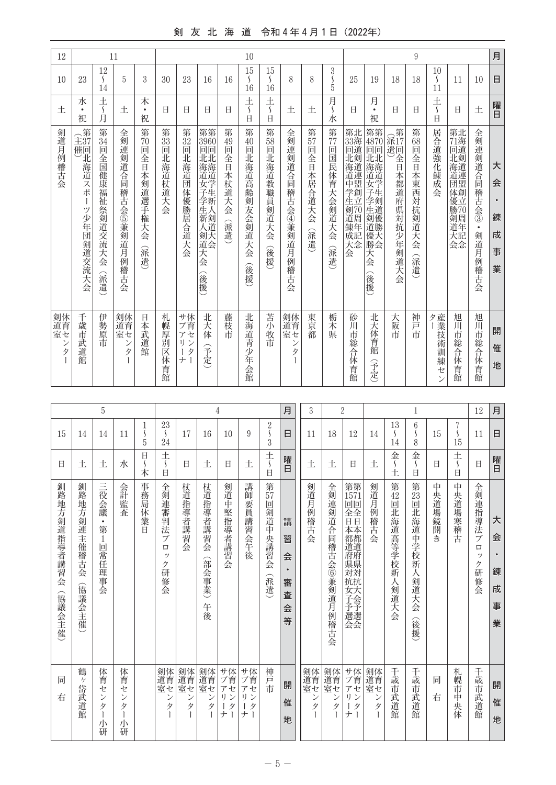## 剣 友 北 海 道 令和4年4月1日 (2022年)

| 12                               |                                           |                                         | 11                          |                        |                     |                                 |                                          |                     | 10                                           |                                      |                                 |                              |                                       |                                                 |                                                               |                                   | $\boldsymbol{9}$        |                                         |                                            |                                          | 月                          |
|----------------------------------|-------------------------------------------|-----------------------------------------|-----------------------------|------------------------|---------------------|---------------------------------|------------------------------------------|---------------------|----------------------------------------------|--------------------------------------|---------------------------------|------------------------------|---------------------------------------|-------------------------------------------------|---------------------------------------------------------------|-----------------------------------|-------------------------|-----------------------------------------|--------------------------------------------|------------------------------------------|----------------------------|
| 10                               | 23                                        | 12<br>$\mathcal{S}_{\mathcal{S}}$<br>14 | 5                           | 3                      | 30                  | 23                              | 16                                       | 16                  | 15<br>$\mathcal{L}_{\mathcal{L}}$<br>16      | 15<br>$\left\{ \right.$<br>16        | 8                               | 8                            | 3<br>Š<br>5                           | 25                                              | 19                                                            | 18                                | 18                      | 10<br>$\mathcal{S}_{\mathcal{S}}$<br>11 | 11                                         | 10                                       | 日                          |
| 土                                | 水<br>$\bullet$<br>祝                       | 土<br>$\left\{ \right.$<br>甪             | 土                           | 木<br>$\bullet$<br>祝    | Ħ                   | 日                               | 日                                        | Ħ                   | 土<br>$\boldsymbol{\mathsf{\mathsf{S}}}$<br>Ħ | 土<br>$\boldsymbol{\mathcal{S}}$<br>Ė | 土                               | 土                            | 月<br>$\mathcal{S}_{\mathcal{S}}$<br>水 | E                                               | 月<br>$\bullet$<br>祝                                           | Ħ                                 | Ħ                       | 土<br>$\boldsymbol{\mathcal{S}}$<br>Ė    | H                                          | 土                                        | 曜日                         |
| 剣道月例稽古会                          | 全第<br>主37<br> 催〕 「海道」<br>スポ<br>ツ少年団剣道交流大会 | 第34回<br>全国健康福祉祭剣道交流大<br>슺<br>(派遣)       | 全剣連剣道合同稽古会⑤兼剣道月例稽古会         | 第70回全日本剣道選手権大会<br>(派遣) | 第<br>33<br>回北海道杖道大会 | 第32回北海道団体優勝居合道大会                | 第第<br>3960<br>回北海道学生新<br>生新人剣道大会<br>(後援) | 第49回全日本杖道大会<br>(派遣) | 第<br>40<br>回北海道高齢<br>剣友会剣道大<br>슺<br>(後援      | 第58回北海道教職員剣道大会<br>(後援)               | 全剣連剣道合同稽古会④兼剣道月例稽古会             | 第<br>57<br>回全日本居合道大会<br>(派遣) | 第<br>77<br>回国民体育大会剣道大会<br>(派遣)        | 第33回北海道中学生剣道錬北海道剣道連盟創立70周年<br>成記<br>大<br>大<br>会 | 第第<br>4870<br>回北海道女子学生剣道匠出海道学生剣道優勝<br>) 優大会<br>大<br>슺<br>(後援) | 第<br>派17<br>遣回<br>全日本都道府県対抗少年剣道大会 | 第63回全日本東西対抗剣道大会<br>(派遣) | 居合道強化錬成会                                | 第71回北海道団体優北海道剣道連盟創立<br><b> 勝剣道大型</b><br>会念 | 全剣連剣道合同稽古会③<br>$\bullet$<br>剣道月例<br>一稽古会 | 大<br>会<br>錬<br>成<br>事<br>業 |
| 剣体<br>道育セ<br>$\ddot{}$<br>タ<br>Ì | 千歳市武道館                                    | 伊勢原市                                    | 剣体<br>道育セ<br>$\ddot{}$<br>タ | 日本武道館                  | 札幌<br>厚別区体育館        | サ体<br>ブ育<br>アセ<br>リン<br>タ<br>ナー | 北大体<br>(予定)                              | 藤枝市                 | 北海道青少<br>年会館                                 | 苫小牧市                                 | 剣体<br>道育セ<br>$\mathcal{V}$<br>タ | 東京都                          | 栃木県                                   | 砂川<br>市総合体育館                                    | 北大体育館<br>予定                                                   | 大阪市                               | 神戸<br>市                 | ター 産業技術訓練セ<br>$\mathcal{V}$             | 旭川<br>市総合体育館                               | 旭川<br>市総合体育館                             | 開<br>催<br>地                |

| 5<br>1                 |                                   |                                           |                                         |        | 23                                             |                     | 4                        |                                                      |                                            |                             | 月                                            | 3                   |                             | $\overline{2}$                                                                                   |                 | 13                                | 1<br>6                                |             | 7              | 12                                     | 月                               |
|------------------------|-----------------------------------|-------------------------------------------|-----------------------------------------|--------|------------------------------------------------|---------------------|--------------------------|------------------------------------------------------|--------------------------------------------|-----------------------------|----------------------------------------------|---------------------|-----------------------------|--------------------------------------------------------------------------------------------------|-----------------|-----------------------------------|---------------------------------------|-------------|----------------|----------------------------------------|---------------------------------|
| 15                     | 14                                | 14                                        | 11                                      | Í<br>5 | $\mathcal{L}_{\mathcal{L}}$<br>24              | 17                  | 16                       | 10                                                   | 9                                          | $\frac{2}{3}$               | 日                                            | 11                  | 18                          | 12                                                                                               | 14              | $\mathcal{L}_{\mathcal{L}}$<br>14 | $\mathcal{S}_{\mathcal{S}}$<br>8      | 15          | S<br>15        | 11                                     | 日                               |
| Ħ                      | 土                                 | 土                                         | 水                                       | 日<br>木 | 土<br>$\mathcal{S}_{\mathcal{S}}$<br>日          | $\Box$              | 土                        | E                                                    | 土                                          | $rac{+}{\sqrt{2}}$<br>É     | 曜日                                           | 土                   | 土                           | Ħ                                                                                                | 土               | 金<br>土                            | 金<br>$\mathcal{S}_{\mathcal{S}}$<br>É | Ħ           | 土<br>∫<br>Ħ    | Ħ                                      | 曜日                              |
| 釧路地方剣道指導者講習会<br>(協議会主催 | 釧路地<br>方剣<br>運主<br>催稽古会<br>(協議会主催 | 三役会議<br>$\bullet$<br>第<br>$1\,$<br>回常任理事会 | 会計監査                                    | 事務局休業日 | 全剣連審判法<br>ブ<br>$\Box$<br>ッ<br>ク<br>研<br>修<br>会 | 杖道指導者講習会            | 杖道指導者講習会<br>(部会事業)<br>午後 | 剣道中堅指導者講習会                                           | 講師要員講習会午後                                  | 第<br>57<br>回剣道中央講習会<br>(派遣) | 講<br>習<br>会<br>$\bullet$<br>審<br>査<br>会<br>等 | 剣道月例<br>3稽古<br>会    | 全剣連剣道合同稽古会⑥兼剣道月例稽古会         | 第第<br>1571<br>回回<br>全日本都道府県対抗<br><b>元女子予選会</b>                                                   | 剣道月例稽古会         | 第<br>42<br>回<br>北海道高等学校新人剣道大<br>会 | 第23回北海道中学校新人剣道大会<br>(後援)              | 中<br>央道場鏡開き | 中央道場寒稽古        | 全剣連指導法<br>ブ<br>$\Box$<br>ッ<br>ク<br>研修会 | 大<br>会<br>٠<br>錬<br>成<br>事<br>業 |
| 同<br>右                 | 鶴<br>ケ<br>岱武道館                    | 体育<br>セ<br>$\mathcal{V}$<br>タ<br>小<br>研   | 体育<br>セ<br>$\mathcal{V}$<br>タ<br>小<br>研 |        | 剣体<br>道育セ<br>ン<br>タ                            | 剣体<br>道育セ<br>ン<br>タ | 剣体<br>道育セ<br>ン<br>タ      | <sup>サ体</sup><br>$\overline{f}$<br>セ<br>1)<br>タ<br>ナ | サ体<br>ブ育<br>アセ<br>IJ<br>ン<br>ľ<br>タ<br>$+$ | 神戸<br>市                     | 開<br>催<br>地                                  | 剣体<br>道育セ<br>ン<br>タ | 剣体<br>道<br>室<br>室<br>ン<br>タ | サ体<br>ブ育<br>$\overline{f}$<br>セ<br>IJ<br>$\mathcal{V}$<br>タ<br>$\mathbf{I}$<br>ナ<br>$\mathbf{I}$ | 剣体<br>道育セ<br>ンタ | 千歳市武道館                            | 千歳市武道館                                | 同<br>右      | 札幌市<br>中<br>央体 | 千歳市武道館                                 | 開<br>催<br>地                     |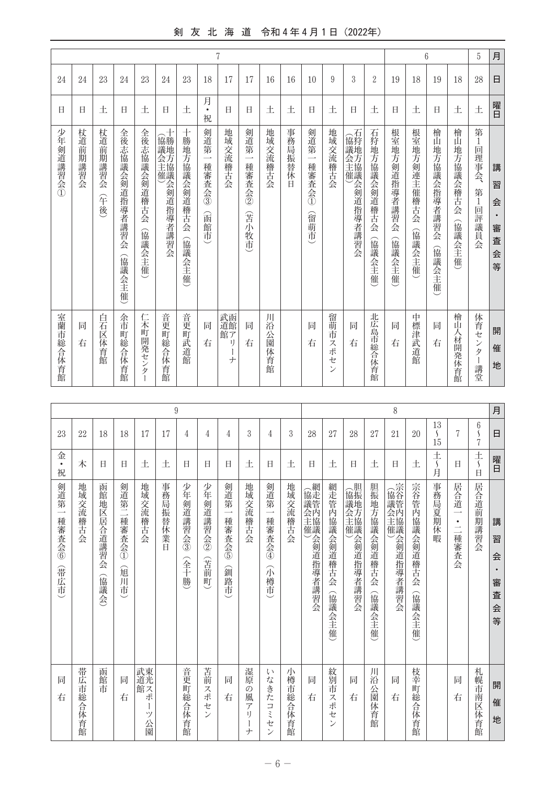## 剣 友 北 海 道 令和4年4月1日 (2022年)

| 月 | 日              | 曜日                  | 講<br>習<br>슾<br>$\bullet$<br>審<br>査<br>슾<br>等      | 開<br>催<br>地                      |
|---|----------------|---------------------|---------------------------------------------------|----------------------------------|
| 5 | 28             | 土                   | <b>第1</b><br>回<br>理事会、<br>第<br>1<br>回評議員会         | 体育セ<br>$\mathcal V$<br>タ<br>- 講堂 |
|   | 18             | 土                   | 檜山地方協議会稽古会<br>(協議会主催                              | 檜<br>Щ<br>人材開発体育館                |
|   | 19             | 日                   | 檜山地方協議会指導者講習会<br>(協議会主催)                          | 同<br>右                           |
| 6 | 18             | 土                   | 根室地方剣連主催稽古会<br>(協議会主催                             | 中標津武道館                           |
|   | 19             | 日                   | 根室地<br>方剣道指導者講習会<br>(協議<br>《会主催                   | 同<br>右                           |
|   | $\overline{2}$ | 土                   | 石狩地方協議会剣道稽古会<br>(協議会主催                            | 北広島市総合体育館                        |
|   | 3              | 日                   | (協議会主催) 石狩地方協議<br>会剣道指導者講習会                       | 同<br>右                           |
|   | 9              | 土                   | 地域交流稽古会                                           | 留萌市<br>スポ<br>セ<br>$\mathcal{V}$  |
|   | 10             | 日                   | 剣道第<br>$\overline{\phantom{0}}$<br>種審査会①<br>留萌市   | 同<br>右                           |
|   | 16             | 土                   | 事務局振替休日                                           |                                  |
|   | 16             | 土                   | 地域交流稽古会                                           | Л<br>沿<br>公園体育館                  |
|   | 17             | 日                   | 剣道第<br>$\overline{\phantom{0}}$<br>種審査会2<br>(苦小牧市 | 同<br>右                           |
| 7 | 17             | Ħ                   | 地域交流稽古会                                           | 武函<br>館ア<br>IJ<br>ナ              |
|   | 18             | 月<br>$\bullet$<br>祝 | 剣道第<br>$\overline{\phantom{a}}$<br>種審査会3<br>(函館市  | 同<br>右                           |
|   | 23             | 土                   | 十勝地方協議会剣道稽古会<br>(協議会主催                            | 音更町武道館                           |
|   | 24             | Ħ                   | :協議会主催)<br>勝地方協議会剣道指導者講習会                         | 音更<br>町総合体育館                     |
|   | 23             | 土                   | 全後志協議会剣道稽古会<br>(協議会主催                             | 仁木町開発センタ<br>Ť                    |
|   | 24             | Ħ                   | 全後志協議会剣道指導者講習会<br>(協議会主催                          | 余市<br>町総合体育館                     |
|   | 23             | 土                   | 杖道前<br>期講習会<br>(午後)                               | 白石区体育館                           |
|   | 24             | Ħ                   | 杖道前期講習会                                           | 同<br>右                           |
|   | 24             | 日                   | 少年剣道講習会①                                          | 室蘭市総合体育館                         |

|                                                   |                  |                     |                          |                                      |              | $\boldsymbol{9}$  |                             |                                                   |                                           |                                                   |          |                 |                             |                 |                        | 8                    |                         |                                         |                                                                                                                   |                                                                  | 月                               |
|---------------------------------------------------|------------------|---------------------|--------------------------|--------------------------------------|--------------|-------------------|-----------------------------|---------------------------------------------------|-------------------------------------------|---------------------------------------------------|----------|-----------------|-----------------------------|-----------------|------------------------|----------------------|-------------------------|-----------------------------------------|-------------------------------------------------------------------------------------------------------------------|------------------------------------------------------------------|---------------------------------|
| 23                                                | 22               | 18                  | 18                       | 17                                   | 17           | 4                 | 4                           | $\overline{4}$                                    | 3                                         | 4                                                 | 3        | 28              | 27                          | 28              | 27                     | 21                   | 20                      | 13<br>$\mathcal{S}_{\mathcal{S}}$<br>15 | 7                                                                                                                 | $6\phantom{.}6$<br>$\mathcal{S}_{\mathcal{S}}$<br>$\overline{7}$ | 日                               |
| 金<br>$\bullet$<br>祝                               | 木                | Ħ                   | Ħ                        | 土                                    | 土            | Ħ                 | Ħ                           | Ħ                                                 | 土                                         | 日                                                 | 土        | Ħ               | 土                           | Ħ               | 土                      | Ħ                    | 土                       | 土〜月                                     | Ħ                                                                                                                 | $rac{+}{\sqrt{2}}$<br>$\overline{H}$                             | 曜日                              |
| 剣道第<br>$\overline{\phantom{0}}$<br>種審査会6<br>(帯広市) | 地域交流<br>端稽古会     | 函館地区居合道講習会<br>(協議会) | 剣道第二種審査会①<br>旭<br>Л<br>市 | 地域交流稽古会                              | 事務局振替休<br>業日 | 少年剣道講習会③<br>(全十勝) | 少年剣道講習会②<br>(苦前)<br>町       | 剣道第<br>$\overline{\phantom{a}}$<br>種審査会の<br>(釧路市) | 地域交流稽古会                                   | 剣道第<br>$\overline{\phantom{0}}$<br>種審査会④<br>(小樽市) | 地域交流稽古会  | (協議会主催)程道指導者講習会 | 網走管内協議会剣道稽古会<br>(協議会主催)     | (協議会主催)程道指導者講習会 | 胆振地方協議会剣道稽古会<br>(協議会主催 | (協議会主催)(協議会創道指導者講習会) | 宗谷管内協議会剣道稽古会<br>(協議会主催) | 事務局夏期休暇                                 | 居合道<br>$\overline{\phantom{0}}$<br>$\bullet$<br>$\overline{\phantom{a}}$<br>$\overline{\phantom{0}}$<br> 種審査<br>会 | 居合道前期講習会                                                         | 講<br>習<br>会<br>審<br>査<br>会<br>等 |
| 同<br>右                                            | 帯広<br>市<br>総合体育館 | 函館市                 | 同<br>右                   | 武東<br>道光<br>)<br>館ス<br>ポ<br>Ť<br>ツ公園 |              | 音更町総合体育館          | 苫前<br>スポセ<br>$\overline{v}$ | 同<br>右                                            | 湿原<br>の<br>風<br>$\overline{f}$<br>IJ<br>ナ | ţ١<br>なきたコミ<br>ゼ<br>$\overline{ }$                | 小樽市総合体育館 | 同<br>右          | 紋別市スポ<br>セ<br>$\mathcal{V}$ | 同<br>右          | 川沿公園体育館                | 同<br>右               | 枝幸町総合体育館                |                                         | 同<br>右                                                                                                            | 札幌市南区体育館                                                         | 開<br>催<br>地                     |